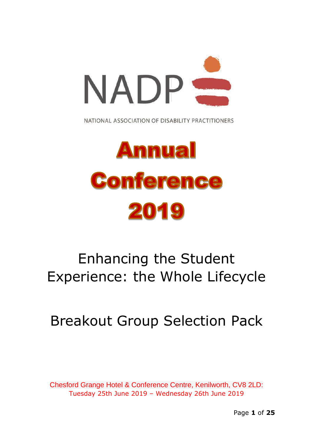

NATIONAL ASSOCIATION OF DISABILITY PRACTITIONERS

# **Annual Conference** 2019

# Enhancing the Student Experience: the Whole Lifecycle

# Breakout Group Selection Pack

Chesford Grange Hotel & Conference Centre, Kenilworth, CV8 2LD: Tuesday 25th June 2019 – Wednesday 26th June 2019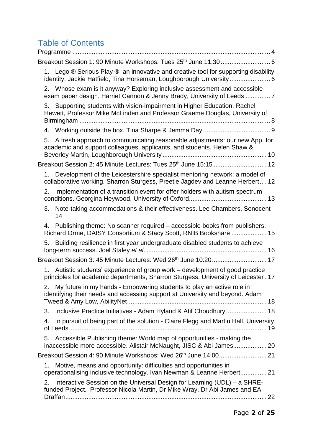# Table of Contents

| Breakout Session 1: 90 Minute Workshops: Tues 25 <sup>th</sup> June 11:30 6                                                                                                        |
|------------------------------------------------------------------------------------------------------------------------------------------------------------------------------------|
| Lego $\circledR$ Serious Play $\circledR$ : an innovative and creative tool for supporting disability<br>1.<br>identity. Jackie Hatfield, Tina Horseman, Loughborough University 6 |
| 2. Whose exam is it anyway? Exploring inclusive assessment and accessible<br>exam paper design. Harriet Cannon & Jenny Brady, University of Leeds 7                                |
| Supporting students with vision-impairment in Higher Education. Rachel<br>3.<br>Hewett, Professor Mike McLinden and Professor Graeme Douglas, University of                        |
|                                                                                                                                                                                    |
| 5. A fresh approach to communicating reasonable adjustments: our new App. for<br>academic and support colleagues, applicants, and students. Helen Shaw &                           |
| Breakout Session 2: 45 Minute Lectures: Tues 25 <sup>th</sup> June 15:15  12                                                                                                       |
| 1. Development of the Leicestershire specialist mentoring network: a model of<br>collaborative working. Sharron Sturgess, Preetie Jagdev and Leanne Herbert 12                     |
| Implementation of a transition event for offer holders with autism spectrum<br>2.                                                                                                  |
| Note-taking accommodations & their effectiveness. Lee Chambers, Sonocent<br>3.<br>14                                                                                               |
| Publishing theme: No scanner required - accessible books from publishers.<br>4.<br>Richard Orme, DAISY Consortium & Stacy Scott, RNIB Bookshare  15                                |
| 5. Building resilience in first year undergraduate disabled students to achieve                                                                                                    |
| Breakout Session 3: 45 Minute Lectures: Wed 26 <sup>th</sup> June 10:20 17                                                                                                         |
| 1. Autistic students' experience of group work – development of good practice<br>principles for academic departments, Sharron Sturgess, University of Leicester. 17                |
| My future in my hands - Empowering students to play an active role in<br>2.<br>identifying their needs and accessing support at University and beyond. Adam                        |
| Inclusive Practice Initiatives - Adam Hyland & Atif Choudhury 18<br>3.                                                                                                             |
| In pursuit of being part of the solution - Claire Flegg and Martin Hall, University<br>4.                                                                                          |
| Accessible Publishing theme: World map of opportunities - making the<br>5.<br>inaccessible more accessible. Alistair McNaught, JISC & Abi James 20                                 |
|                                                                                                                                                                                    |
| Motive, means and opportunity: difficulties and opportunities in<br>1.<br>operationalising inclusive technology. Ivan Newman & Leanne Herbert 21                                   |
| Interactive Session on the Universal Design for Learning (UDL) – a SHRE-<br>2.<br>funded Project. Professor Nicola Martin, Dr Mike Wray, Dr Abi James and EA                       |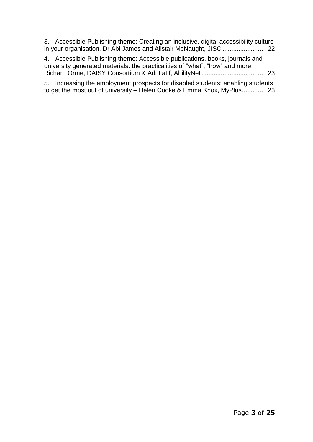3. Accessible Publishing theme: Creating an inclusive, digital [accessibility](#page-21-1) culture in your organisation. Dr Abi James and Alistair McNaught, JISC [.........................](#page-21-1) 22

4. Accessible Publishing theme: Accessible [publications,](#page-22-0) books, journals and university generated materials: the [practicalities](#page-22-0) of "what", "how" and more. Richard Orme, DAISY Consortium & Adi Latif, [AbilityNet.....................................](#page-22-0) 23

5. Increasing the [employment](#page-22-1) prospects for disabled students: enabling students to get the most out of university – Helen Cooke & Emma Knox, [MyPlus..............](#page-22-1) 23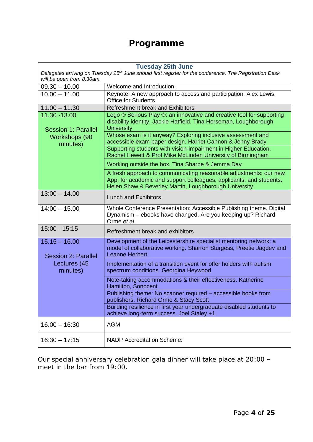### **Programme**

<span id="page-3-0"></span> $\mathbf{I}$ 

| <b>Tuesday 25th June</b> |  |
|--------------------------|--|
|--------------------------|--|

| Delegates arriving on Tuesday 25 <sup>th</sup> June should first register for the conference. The Registration Desk<br>will be open from 8.30am. |                                                                                                                                                                                                   |  |
|--------------------------------------------------------------------------------------------------------------------------------------------------|---------------------------------------------------------------------------------------------------------------------------------------------------------------------------------------------------|--|
| $09.30 - 10.00$                                                                                                                                  | Welcome and Introduction:                                                                                                                                                                         |  |
| $10.00 - 11.00$                                                                                                                                  | Keynote: A new approach to access and participation. Alex Lewis,<br><b>Office for Students</b>                                                                                                    |  |
| $11.00 - 11.30$                                                                                                                                  | <b>Refreshment break and Exhibitors</b>                                                                                                                                                           |  |
| 11.30 - 13.00<br><b>Session 1: Parallel</b><br>Workshops (90<br>minutes)                                                                         | Lego ® Serious Play ®: an innovative and creative tool for supporting<br>disability identity. Jackie Hatfield, Tina Horseman, Loughborough<br><b>University</b>                                   |  |
|                                                                                                                                                  | Whose exam is it anyway? Exploring inclusive assessment and<br>accessible exam paper design. Harriet Cannon & Jenny Brady                                                                         |  |
|                                                                                                                                                  | Supporting students with vision-impairment in Higher Education.<br>Rachel Hewett & Prof Mike McLinden University of Birmingham                                                                    |  |
|                                                                                                                                                  | Working outside the box. Tina Sharpe & Jemma Day                                                                                                                                                  |  |
|                                                                                                                                                  | A fresh approach to communicating reasonable adjustments: our new<br>App. for academic and support colleagues, applicants, and students.<br>Helen Shaw & Beverley Martin, Loughborough University |  |
| $13:00 - 14.00$                                                                                                                                  | <b>Lunch and Exhibitors</b>                                                                                                                                                                       |  |
| $14:00 - 15.00$                                                                                                                                  | Whole Conference Presentation: Accessible Publishing theme. Digital<br>Dynamism - ebooks have changed. Are you keeping up? Richard<br>Orme et al.                                                 |  |
| 15:00 - 15:15                                                                                                                                    | Refreshment break and exhibitors                                                                                                                                                                  |  |
| $15.15 - 16.00$<br><b>Session 2: Parallel</b><br>Lectures (45<br>minutes)                                                                        | Development of the Leicestershire specialist mentoring network: a<br>model of collaborative working. Sharron Sturgess, Preetie Jagdev and<br><b>Leanne Herbert</b>                                |  |
|                                                                                                                                                  | Implementation of a transition event for offer holders with autism<br>spectrum conditions. Georgina Heywood                                                                                       |  |
|                                                                                                                                                  | Note-taking accommodations & their effectiveness. Katherine<br>Hamilton, Sonocent                                                                                                                 |  |
|                                                                                                                                                  | Publishing theme: No scanner required - accessible books from<br>publishers. Richard Orme & Stacy Scott                                                                                           |  |
|                                                                                                                                                  | Building resilience in first year undergraduate disabled students to<br>achieve long-term success. Joel Staley +1                                                                                 |  |
| $16.00 - 16:30$                                                                                                                                  | <b>AGM</b>                                                                                                                                                                                        |  |
| $16:30 - 17:15$                                                                                                                                  | <b>NADP Accreditation Scheme:</b>                                                                                                                                                                 |  |

Our special anniversary celebration gala dinner will take place at 20:00 – meet in the bar from 19:00.

┑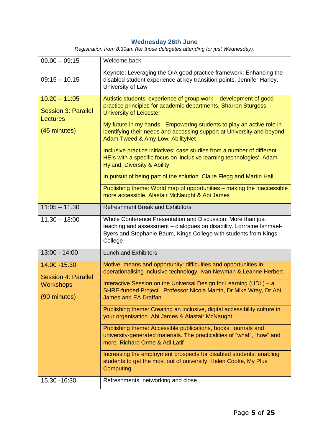| <b>Wednesday 26th June</b><br>Registration from 8.30am (for those delegates attending for just Wednesday). |                                                                                                                                                                                                                                                 |  |
|------------------------------------------------------------------------------------------------------------|-------------------------------------------------------------------------------------------------------------------------------------------------------------------------------------------------------------------------------------------------|--|
| $09.00 - 09:15$                                                                                            | Welcome back:                                                                                                                                                                                                                                   |  |
| $09:15 - 10.15$                                                                                            | Keynote: Leveraging the OIA good practice framework: Enhancing the<br>disabled student experience at key transition points. Jennifer Harley,<br>University of Law                                                                               |  |
| $10.20 - 11:05$<br><b>Session 3: Parallel</b><br>Lectures<br>(45 minutes)                                  | Autistic students' experience of group work - development of good<br>practice principles for academic departments, Sharron Sturgess,<br><b>University of Leicester</b><br>My future in my hands - Empowering students to play an active role in |  |
|                                                                                                            | identifying their needs and accessing support at University and beyond.<br>Adam Tweed & Amy Low, AbilityNet                                                                                                                                     |  |
|                                                                                                            | Inclusive practice initiatives: case studies from a number of different<br>HEIs with a specific focus on 'inclusive learning technologies'. Adam<br>Hyland, Diversity & Ability.                                                                |  |
|                                                                                                            | In pursuit of being part of the solution. Claire Flegg and Martin Hall                                                                                                                                                                          |  |
|                                                                                                            | Publishing theme: World map of opportunities - making the inaccessible<br>more accessible. Alastair McNaught & Abi James                                                                                                                        |  |
| $11:05 - 11.30$                                                                                            | <b>Refreshment Break and Exhibitors</b>                                                                                                                                                                                                         |  |
| $11.30 - 13:00$                                                                                            | Whole Conference Presentation and Discussion: More than just<br>teaching and assessment - dialogues on disability. Lorrraine Ishmael-<br>Byers and Stephanie Baum, Kings College with students from Kings<br>College                            |  |
| 13:00 - 14:00                                                                                              | <b>Lunch and Exhibitors</b>                                                                                                                                                                                                                     |  |
| 14.00 - 15.30<br><b>Session 4: Parallel</b><br><b>Workshops</b><br>(90 minutes)                            | Motive, means and opportunity: difficulties and opportunities in<br>operationalising inclusive technology. Ivan Newman & Leanne Herbert                                                                                                         |  |
|                                                                                                            | Interactive Session on the Universal Design for Learning (UDL) – a<br>SHRE-funded Project. Professor Nicola Martin, Dr Mike Wray, Dr Abi<br><b>James and EA Draffan</b>                                                                         |  |
|                                                                                                            | Publishing theme: Creating an inclusive, digital accessibility culture in<br>your organisation. Abi James & Alastair McNaught                                                                                                                   |  |
|                                                                                                            | Publishing theme: Accessible publications, books, journals and<br>university-generated materials. The practicalities of "what", "how" and<br>more. Richard Orme & Adi Latif                                                                     |  |
|                                                                                                            | Increasing the employment prospects for disabled students: enabling<br>students to get the most out of university. Helen Cooke, My Plus<br>Computing                                                                                            |  |
| 15.30 - 16:30                                                                                              | Refreshments, networking and close                                                                                                                                                                                                              |  |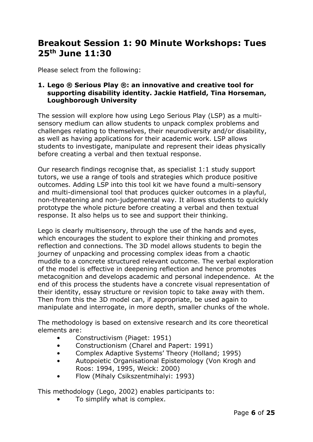# <span id="page-5-0"></span>**Breakout Session 1: 90 Minute Workshops: Tues 25th June 11:30**

Please select from the following:

#### <span id="page-5-1"></span>**1. Lego ® Serious Play ®: an innovative and creative tool for supporting disability identity. Jackie Hatfield, Tina Horseman, Loughborough University**

The session will explore how using Lego Serious Play (LSP) as a multisensory medium can allow students to unpack complex problems and challenges relating to themselves, their neurodiversity and/or disability, as well as having applications for their academic work. LSP allows students to investigate, manipulate and represent their ideas physically before creating a verbal and then textual response.

Our research findings recognise that, as specialist 1:1 study support tutors, we use a range of tools and strategies which produce positive outcomes. Adding LSP into this tool kit we have found a multi-sensory and multi-dimensional tool that produces quicker outcomes in a playful, non-threatening and non-judgemental way. It allows students to quickly prototype the whole picture before creating a verbal and then textual response. It also helps us to see and support their thinking.

Lego is clearly multisensory, through the use of the hands and eyes, which encourages the student to explore their thinking and promotes reflection and connections. The 3D model allows students to begin the journey of unpacking and processing complex ideas from a chaotic muddle to a concrete structured relevant outcome. The verbal exploration of the model is effective in deepening reflection and hence promotes metacognition and develops academic and personal independence. At the end of this process the students have a concrete visual representation of their identity, essay structure or revision topic to take away with them. Then from this the 3D model can, if appropriate, be used again to manipulate and interrogate, in more depth, smaller chunks of the whole.

The methodology is based on extensive research and its core theoretical elements are:

- Constructivism (Piaget: 1951)
- Constructionism (Charel and Papert: 1991)
- Complex Adaptive Systems' Theory (Holland; 1995)
- Autopoietic Organisational Epistemology (Von Krogh and Roos: 1994, 1995, Weick: 2000)
- Flow (Mihaly Csikszentmihalyi: 1993)

This methodology (Lego, 2002) enables participants to:

To simplify what is complex.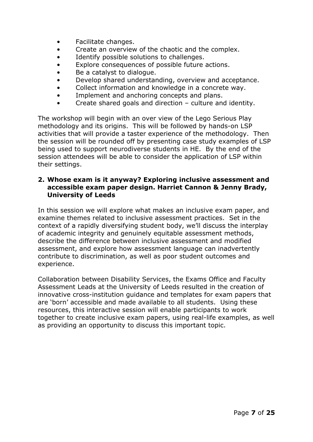- Facilitate changes.
- Create an overview of the chaotic and the complex.
- Identify possible solutions to challenges.
- Explore consequences of possible future actions.
- Be a catalyst to dialogue.
- Develop shared understanding, overview and acceptance.
- Collect information and knowledge in a concrete way.
- Implement and anchoring concepts and plans.
- Create shared goals and direction culture and identity.

The workshop will begin with an over view of the Lego Serious Play methodology and its origins. This will be followed by hands-on LSP activities that will provide a taster experience of the methodology. Then the session will be rounded off by presenting case study examples of LSP being used to support neurodiverse students in HE. By the end of the session attendees will be able to consider the application of LSP within their settings.

#### <span id="page-6-0"></span>**2. Whose exam is it anyway? Exploring inclusive assessment and accessible exam paper design. Harriet Cannon & Jenny Brady, University of Leeds**

In this session we will explore what makes an inclusive exam paper, and examine themes related to inclusive assessment practices. Set in the context of a rapidly diversifying student body, we'll discuss the interplay of academic integrity and genuinely equitable assessment methods, describe the difference between inclusive assessment and modified assessment, and explore how assessment language can inadvertently contribute to discrimination, as well as poor student outcomes and experience.

Collaboration between Disability Services, the Exams Office and Faculty Assessment Leads at the University of Leeds resulted in the creation of innovative cross-institution guidance and templates for exam papers that are 'born' accessible and made available to all students. Using these resources, this interactive session will enable participants to work together to create inclusive exam papers, using real-life examples, as well as providing an opportunity to discuss this important topic.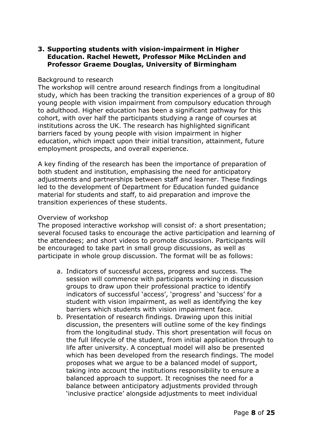#### <span id="page-7-0"></span>**3. Supporting students with vision-impairment in Higher Education. Rachel Hewett, Professor Mike McLinden and Professor Graeme Douglas, University of Birmingham**

#### Background to research

The workshop will centre around research findings from a longitudinal study, which has been tracking the transition experiences of a group of 80 young people with vision impairment from compulsory education through to adulthood. Higher education has been a significant pathway for this cohort, with over half the participants studying a range of courses at institutions across the UK. The research has highlighted significant barriers faced by young people with vision impairment in higher education, which impact upon their initial transition, attainment, future employment prospects, and overall experience.

A key finding of the research has been the importance of preparation of both student and institution, emphasising the need for anticipatory adjustments and partnerships between staff and learner. These findings led to the development of Department for Education funded guidance material for students and staff, to aid preparation and improve the transition experiences of these students.

#### Overview of workshop

The proposed interactive workshop will consist of: a short presentation; several focused tasks to encourage the active participation and learning of the attendees; and short videos to promote discussion. Participants will be encouraged to take part in small group discussions, as well as participate in whole group discussion. The format will be as follows:

- a. Indicators of successful access, progress and success. The session will commence with participants working in discussion groups to draw upon their professional practice to identify indicators of successful 'access', 'progress' and 'success' for a student with vision impairment, as well as identifying the key barriers which students with vision impairment face.
- b. Presentation of research findings. Drawing upon this initial discussion, the presenters will outline some of the key findings from the longitudinal study. This short presentation will focus on the full lifecycle of the student, from initial application through to life after university. A conceptual model will also be presented which has been developed from the research findings. The model proposes what we argue to be a balanced model of support, taking into account the institutions responsibility to ensure a balanced approach to support. It recognises the need for a balance between anticipatory adjustments provided through 'inclusive practice' alongside adjustments to meet individual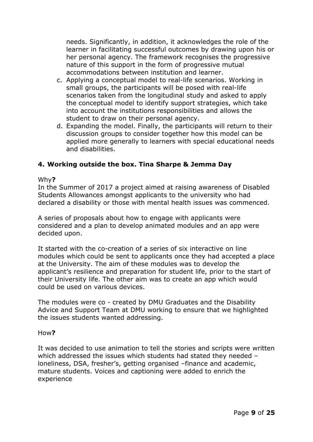needs. Significantly, in addition, it acknowledges the role of the learner in facilitating successful outcomes by drawing upon his or her personal agency. The framework recognises the progressive nature of this support in the form of progressive mutual accommodations between institution and learner.

- c. Applying a conceptual model to real-life scenarios. Working in small groups, the participants will be posed with real-life scenarios taken from the longitudinal study and asked to apply the conceptual model to identify support strategies, which take into account the institutions responsibilities and allows the student to draw on their personal agency.
- d. Expanding the model. Finally, the participants will return to their discussion groups to consider together how this model can be applied more generally to learners with special educational needs and disabilities.

#### <span id="page-8-0"></span>**4. Working outside the box. Tina Sharpe & Jemma Day**

#### Why**?**

In the Summer of 2017 a project aimed at raising awareness of Disabled Students Allowances amongst applicants to the university who had declared a disability or those with mental health issues was commenced.

A series of proposals about how to engage with applicants were considered and a plan to develop animated modules and an app were decided upon.

It started with the co-creation of a series of six interactive on line modules which could be sent to applicants once they had accepted a place at the University. The aim of these modules was to develop the applicant's resilience and preparation for student life, prior to the start of their University life. The other aim was to create an app which would could be used on various devices.

The modules were co - created by DMU Graduates and the Disability Advice and Support Team at DMU working to ensure that we highlighted the issues students wanted addressing.

#### How**?**

It was decided to use animation to tell the stories and scripts were written which addressed the issues which students had stated they needed – loneliness, DSA, fresher's, getting organised –finance and academic, mature students. Voices and captioning were added to enrich the experience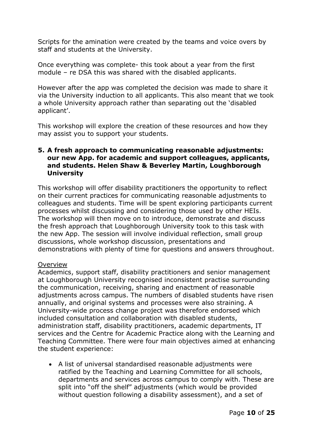Scripts for the amination were created by the teams and voice overs by staff and students at the University.

Once everything was complete- this took about a year from the first module – re DSA this was shared with the disabled applicants.

However after the app was completed the decision was made to share it via the University induction to all applicants. This also meant that we took a whole University approach rather than separating out the 'disabled applicant'.

This workshop will explore the creation of these resources and how they may assist you to support your students.

#### <span id="page-9-0"></span>**5. A fresh approach to communicating reasonable adjustments: our new App. for academic and support colleagues, applicants, and students. Helen Shaw & Beverley Martin, Loughborough University**

This workshop will offer disability practitioners the opportunity to reflect on their current practices for communicating reasonable adjustments to colleagues and students. Time will be spent exploring participants current processes whilst discussing and considering those used by other HEIs. The workshop will then move on to introduce, demonstrate and discuss the fresh approach that Loughborough University took to this task with the new App. The session will involve individual reflection, small group discussions, whole workshop discussion, presentations and demonstrations with plenty of time for questions and answers throughout.

#### Overview

Academics, support staff, disability practitioners and senior management at Loughborough University recognised inconsistent practise surrounding the communication, receiving, sharing and enactment of reasonable adjustments across campus. The numbers of disabled students have risen annually, and original systems and processes were also straining. A University-wide process change project was therefore endorsed which included consultation and collaboration with disabled students, administration staff, disability practitioners, academic departments, IT services and the Centre for Academic Practice along with the Learning and Teaching Committee. There were four main objectives aimed at enhancing the student experience:

• A list of universal standardised reasonable adjustments were ratified by the Teaching and Learning Committee for all schools, departments and services across campus to comply with. These are split into "off the shelf" adjustments (which would be provided without question following a disability assessment), and a set of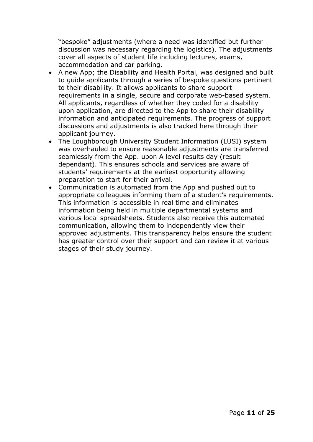"bespoke" adjustments (where a need was identified but further discussion was necessary regarding the logistics). The adjustments cover all aspects of student life including lectures, exams, accommodation and car parking.

- A new App; the Disability and Health Portal, was designed and built to guide applicants through a series of bespoke questions pertinent to their disability. It allows applicants to share support requirements in a single, secure and corporate web-based system. All applicants, regardless of whether they coded for a disability upon application, are directed to the App to share their disability information and anticipated requirements. The progress of support discussions and adjustments is also tracked here through their applicant journey.
- The Loughborough University Student Information (LUSI) system was overhauled to ensure reasonable adjustments are transferred seamlessly from the App. upon A level results day (result dependant). This ensures schools and services are aware of students' requirements at the earliest opportunity allowing preparation to start for their arrival.
- Communication is automated from the App and pushed out to appropriate colleagues informing them of a student's requirements. This information is accessible in real time and eliminates information being held in multiple departmental systems and various local spreadsheets. Students also receive this automated communication, allowing them to independently view their approved adjustments. This transparency helps ensure the student has greater control over their support and can review it at various stages of their study journey.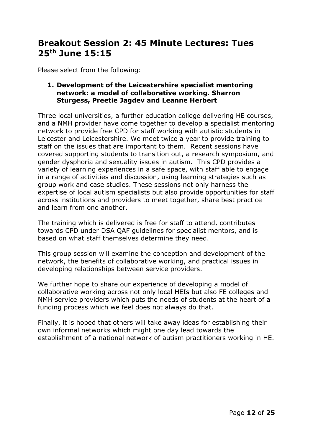# <span id="page-11-0"></span>**Breakout Session 2: 45 Minute Lectures: Tues 25th June 15:15**

Please select from the following:

#### <span id="page-11-1"></span>**1. Development of the Leicestershire specialist mentoring network: a model of collaborative working. Sharron Sturgess, Preetie Jagdev and Leanne Herbert**

Three local universities, a further education college delivering HE courses, and a NMH provider have come together to develop a specialist mentoring network to provide free CPD for staff working with autistic students in Leicester and Leicestershire. We meet twice a year to provide training to staff on the issues that are important to them. Recent sessions have covered supporting students to transition out, a research symposium, and gender dysphoria and sexuality issues in autism. This CPD provides a variety of learning experiences in a safe space, with staff able to engage in a range of activities and discussion, using learning strategies such as group work and case studies. These sessions not only harness the expertise of local autism specialists but also provide opportunities for staff across institutions and providers to meet together, share best practice and learn from one another.

The training which is delivered is free for staff to attend, contributes towards CPD under DSA QAF guidelines for specialist mentors, and is based on what staff themselves determine they need.

This group session will examine the conception and development of the network, the benefits of collaborative working, and practical issues in developing relationships between service providers.

We further hope to share our experience of developing a model of collaborative working across not only local HEIs but also FE colleges and NMH service providers which puts the needs of students at the heart of a funding process which we feel does not always do that.

Finally, it is hoped that others will take away ideas for establishing their own informal networks which might one day lead towards the establishment of a national network of autism practitioners working in HE.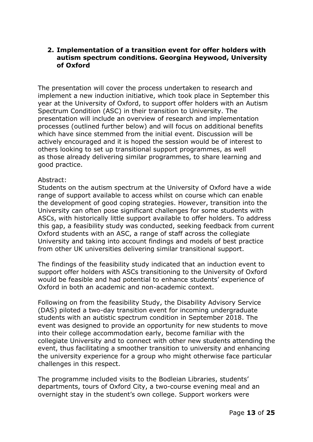#### <span id="page-12-0"></span>**2. Implementation of a transition event for offer holders with autism spectrum conditions. Georgina Heywood, University of Oxford**

The presentation will cover the process undertaken to research and implement a new induction initiative, which took place in September this year at the University of Oxford, to support offer holders with an Autism Spectrum Condition (ASC) in their transition to University. The presentation will include an overview of research and implementation processes (outlined further below) and will focus on additional benefits which have since stemmed from the initial event. Discussion will be actively encouraged and it is hoped the session would be of interest to others looking to set up transitional support programmes, as well as those already delivering similar programmes, to share learning and good practice.

#### Abstract:

Students on the autism spectrum at the University of Oxford have a wide range of support available to access whilst on course which can enable the development of good coping strategies. However, transition into the University can often pose significant challenges for some students with ASCs, with historically little support available to offer holders. To address this gap, a feasibility study was conducted, seeking feedback from current Oxford students with an ASC, a range of staff across the collegiate University and taking into account findings and models of best practice from other UK universities delivering similar transitional support.

The findings of the feasibility study indicated that an induction event to support offer holders with ASCs transitioning to the University of Oxford would be feasible and had potential to enhance students' experience of Oxford in both an academic and non-academic context.

Following on from the feasibility Study, the Disability Advisory Service (DAS) piloted a two-day transition event for incoming undergraduate students with an autistic spectrum condition in September 2018. The event was designed to provide an opportunity for new students to move into their college accommodation early, become familiar with the collegiate University and to connect with other new students attending the event, thus facilitating a smoother transition to university and enhancing the university experience for a group who might otherwise face particular challenges in this respect.

The programme included visits to the Bodleian Libraries, students' departments, tours of Oxford City, a two-course evening meal and an overnight stay in the student's own college. Support workers were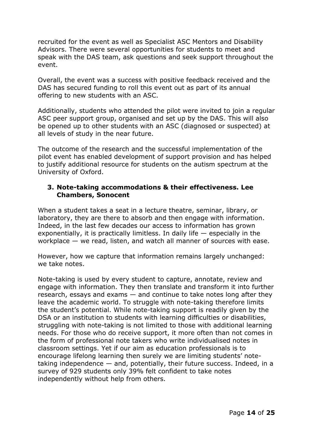recruited for the event as well as Specialist ASC Mentors and Disability Advisors. There were several opportunities for students to meet and speak with the DAS team, ask questions and seek support throughout the event.

Overall, the event was a success with positive feedback received and the DAS has secured funding to roll this event out as part of its annual offering to new students with an ASC.

Additionally, students who attended the pilot were invited to join a regular ASC peer support group, organised and set up by the DAS. This will also be opened up to other students with an ASC (diagnosed or suspected) at all levels of study in the near future.

The outcome of the research and the successful implementation of the pilot event has enabled development of support provision and has helped to justify additional resource for students on the autism spectrum at the University of Oxford.

#### <span id="page-13-0"></span>**3. Note-taking accommodations & their effectiveness. Lee Chambers, Sonocent**

When a student takes a seat in a lecture theatre, seminar, library, or laboratory, they are there to absorb and then engage with information. Indeed, in the last few decades our access to information has grown exponentially, it is practically limitless. In daily life  $-$  especially in the workplace — we read, listen, and watch all manner of sources with ease.

However, how we capture that information remains largely unchanged: we take notes.

Note-taking is used by every student to capture, annotate, review and engage with information. They then translate and transform it into further research, essays and exams — and continue to take notes long after they leave the academic world. To struggle with note-taking therefore limits the student's potential. While note-taking support is readily given by the DSA or an institution to students with learning difficulties or disabilities, struggling with note-taking is not limited to those with additional learning needs. For those who do receive support, it more often than not comes in the form of professional note takers who write individualised notes in classroom settings. Yet if our aim as education professionals is to encourage lifelong learning then surely we are limiting students' notetaking independence — and, potentially, their future success. Indeed, in a survey of 929 students only 39% felt confident to take notes independently without help from others.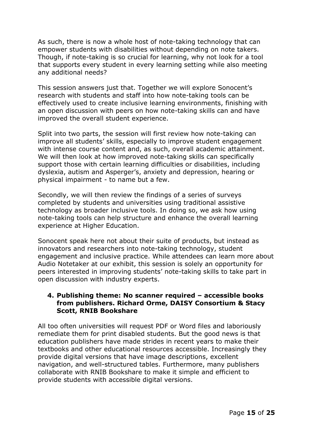As such, there is now a whole host of note-taking technology that can empower students with disabilities without depending on note takers. Though, if note-taking is so crucial for learning, why not look for a tool that supports every student in every learning setting while also meeting any additional needs?

This session answers just that. Together we will explore Sonocent's research with students and staff into how note-taking tools can be effectively used to create inclusive learning environments, finishing with an open discussion with peers on how note-taking skills can and have improved the overall student experience.

Split into two parts, the session will first review how note-taking can improve all students' skills, especially to improve student engagement with intense course content and, as such, overall academic attainment. We will then look at how improved note-taking skills can specifically support those with certain learning difficulties or disabilities, including dyslexia, autism and Asperger's, anxiety and depression, hearing or physical impairment - to name but a few.

Secondly, we will then review the findings of a series of surveys completed by students and universities using traditional assistive technology as broader inclusive tools. In doing so, we ask how using note-taking tools can help structure and enhance the overall learning experience at Higher Education.

Sonocent speak here not about their suite of products, but instead as innovators and researchers into note-taking technology, student engagement and inclusive practice. While attendees can learn more about Audio Notetaker at our exhibit, this session is solely an opportunity for peers interested in improving students' note-taking skills to take part in open discussion with industry experts.

#### <span id="page-14-0"></span>**4. Publishing theme: No scanner required – accessible books from publishers. Richard Orme, DAISY Consortium & Stacy Scott, RNIB Bookshare**

All too often universities will request PDF or Word files and laboriously remediate them for print disabled students. But the good news is that education publishers have made strides in recent years to make their textbooks and other educational resources accessible. Increasingly they provide digital versions that have image descriptions, excellent navigation, and well-structured tables. Furthermore, many publishers collaborate with RNIB Bookshare to make it simple and efficient to provide students with accessible digital versions.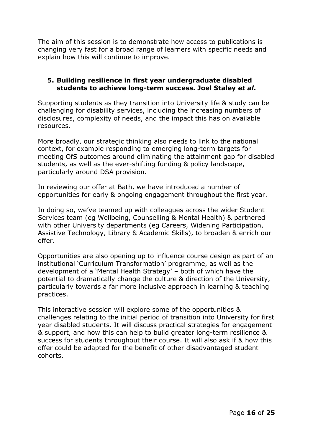The aim of this session is to demonstrate how access to publications is changing very fast for a broad range of learners with specific needs and explain how this will continue to improve.

#### <span id="page-15-0"></span>**5. Building resilience in first year undergraduate disabled students to achieve long-term success. Joel Staley** *et al***.**

Supporting students as they transition into University life & study can be challenging for disability services, including the increasing numbers of disclosures, complexity of needs, and the impact this has on available resources.

More broadly, our strategic thinking also needs to link to the national context, for example responding to emerging long-term targets for meeting OfS outcomes around eliminating the attainment gap for disabled students, as well as the ever-shifting funding & policy landscape, particularly around DSA provision.

In reviewing our offer at Bath, we have introduced a number of opportunities for early & ongoing engagement throughout the first year.

In doing so, we've teamed up with colleagues across the wider Student Services team (eg Wellbeing, Counselling & Mental Health) & partnered with other University departments (eg Careers, Widening Participation, Assistive Technology, Library & Academic Skills), to broaden & enrich our offer.

Opportunities are also opening up to influence course design as part of an institutional 'Curriculum Transformation' programme, as well as the development of a 'Mental Health Strategy' – both of which have the potential to dramatically change the culture & direction of the University, particularly towards a far more inclusive approach in learning & teaching practices.

This interactive session will explore some of the opportunities & challenges relating to the initial period of transition into University for first year disabled students. It will discuss practical strategies for engagement & support, and how this can help to build greater long-term resilience & success for students throughout their course. It will also ask if & how this offer could be adapted for the benefit of other disadvantaged student cohorts.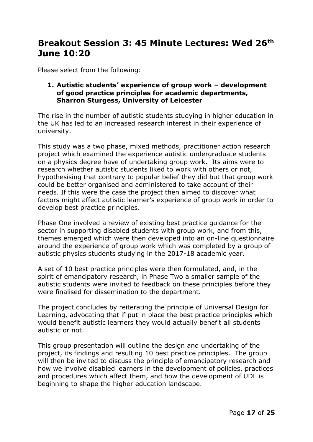# <span id="page-16-0"></span>**Breakout Session 3: 45 Minute Lectures: Wed 26th June 10:20**

Please select from the following:

#### <span id="page-16-1"></span>**1. Autistic students' experience of group work – development of good practice principles for academic departments, Sharron Sturgess, University of Leicester**

The rise in the number of autistic students studying in higher education in the UK has led to an increased research interest in their experience of university.

This study was a two phase, mixed methods, practitioner action research project which examined the experience autistic undergraduate students on a physics degree have of undertaking group work. Its aims were to research whether autistic students liked to work with others or not, hypothesising that contrary to popular belief they did but that group work could be better organised and administered to take account of their needs. If this were the case the project then aimed to discover what factors might affect autistic learner's experience of group work in order to develop best practice principles.

Phase One involved a review of existing best practice guidance for the sector in supporting disabled students with group work, and from this, themes emerged which were then developed into an on-line questionnaire around the experience of group work which was completed by a group of autistic physics students studying in the 2017-18 academic year.

A set of 10 best practice principles were then formulated, and, in the spirit of emancipatory research, in Phase Two a smaller sample of the autistic students were invited to feedback on these principles before they were finalised for dissemination to the department.

The project concludes by reiterating the principle of Universal Design for Learning, advocating that if put in place the best practice principles which would benefit autistic learners they would actually benefit all students autistic or not.

This group presentation will outline the design and undertaking of the project, its findings and resulting 10 best practice principles. The group will then be invited to discuss the principle of emancipatory research and how we involve disabled learners in the development of policies, practices and procedures which affect them, and how the development of UDL is beginning to shape the higher education landscape.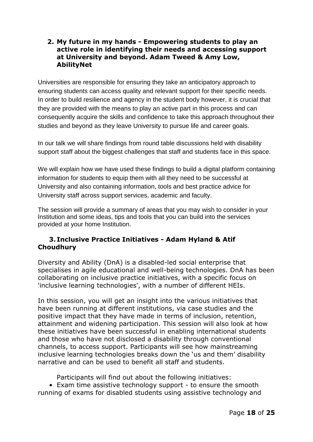#### <span id="page-17-0"></span>**2. My future in my hands - Empowering students to play an active role in identifying their needs and accessing support at University and beyond. Adam Tweed & Amy Low, AbilityNet**

Universities are responsible for ensuring they take an anticipatory approach to ensuring students can access quality and relevant support for their specific needs. In order to build resilience and agency in the student body however, it is crucial that they are provided with the means to play an active part in this process and can consequently acquire the skills and confidence to take this approach throughout their studies and beyond as they leave University to pursue life and career goals.

In our talk we will share findings from round table discussions held with disability support staff about the biggest challenges that staff and students face in this space.

We will explain how we have used these findings to build a digital platform containing information for students to equip them with all they need to be successful at University and also containing information, tools and best practice advice for University staff across support services, academic and faculty.

The session will provide a summary of areas that you may wish to consider in your Institution and some ideas, tips and tools that you can build into the services provided at your home Institution.

#### <span id="page-17-1"></span>**3. Inclusive Practice Initiatives - Adam Hyland & Atif Choudhury**

Diversity and Ability (DnA) is a disabled-led social enterprise that specialises in agile educational and well-being technologies. DnA has been collaborating on inclusive practice initiatives, with a specific focus on 'inclusive learning technologies', with a number of different HEIs.

In this session, you will get an insight into the various initiatives that have been running at different institutions, via case studies and the positive impact that they have made in terms of inclusion, retention, attainment and widening participation. This session will also look at how these initiatives have been successful in enabling international students and those who have not disclosed a disability through conventional channels, to access support. Participants will see how mainstreaming inclusive learning technologies breaks down the 'us and them' disability narrative and can be used to benefit all staff and students.

Participants will find out about the following initiatives:

• Exam time assistive technology support - to ensure the smooth running of exams for disabled students using assistive technology and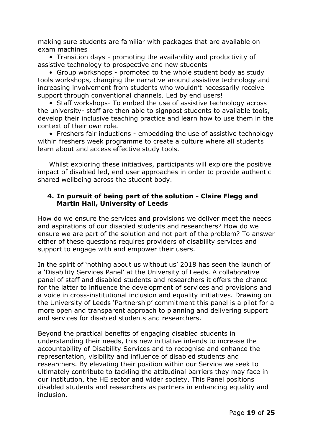making sure students are familiar with packages that are available on exam machines

• Transition days - promoting the availability and productivity of assistive technology to prospective and new students

• Group workshops - promoted to the whole student body as study tools workshops, changing the narrative around assistive technology and increasing involvement from students who wouldn't necessarily receive support through conventional channels. Led by end users!

• Staff workshops- To embed the use of assistive technology across the university- staff are then able to signpost students to available tools, develop their inclusive teaching practice and learn how to use them in the context of their own role.

• Freshers fair inductions - embedding the use of assistive technology within freshers week programme to create a culture where all students learn about and access effective study tools.

Whilst exploring these initiatives, participants will explore the positive impact of disabled led, end user approaches in order to provide authentic shared wellbeing across the student body.

#### <span id="page-18-0"></span>**4. In pursuit of being part of the solution - Claire Flegg and Martin Hall, University of Leeds**

How do we ensure the services and provisions we deliver meet the needs and aspirations of our disabled students and researchers? How do we ensure we are part of the solution and not part of the problem? To answer either of these questions requires providers of disability services and support to engage with and empower their users.

In the spirit of 'nothing about us without us' 2018 has seen the launch of a 'Disability Services Panel' at the University of Leeds. A collaborative panel of staff and disabled students and researchers it offers the chance for the latter to influence the development of services and provisions and a voice in cross-institutional inclusion and equality initiatives. Drawing on the University of Leeds 'Partnership' commitment this panel is a pilot for a more open and transparent approach to planning and delivering support and services for disabled students and researchers.

Beyond the practical benefits of engaging disabled students in understanding their needs, this new initiative intends to increase the accountability of Disability Services and to recognise and enhance the representation, visibility and influence of disabled students and researchers. By elevating their position within our Service we seek to ultimately contribute to tackling the attitudinal barriers they may face in our institution, the HE sector and wider society. This Panel positions disabled students and researchers as partners in enhancing equality and inclusion.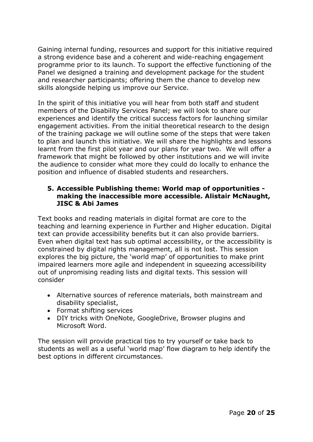Gaining internal funding, resources and support for this initiative required a strong evidence base and a coherent and wide-reaching engagement programme prior to its launch. To support the effective functioning of the Panel we designed a training and development package for the student and researcher participants; offering them the chance to develop new skills alongside helping us improve our Service.

In the spirit of this initiative you will hear from both staff and student members of the Disability Services Panel; we will look to share our experiences and identify the critical success factors for launching similar engagement activities. From the initial theoretical research to the design of the training package we will outline some of the steps that were taken to plan and launch this initiative. We will share the highlights and lessons learnt from the first pilot year and our plans for year two. We will offer a framework that might be followed by other institutions and we will invite the audience to consider what more they could do locally to enhance the position and influence of disabled students and researchers.

#### <span id="page-19-0"></span>**5. Accessible Publishing theme: World map of opportunities making the inaccessible more accessible. Alistair McNaught, JISC & Abi James**

Text books and reading materials in digital format are core to the teaching and learning experience in Further and Higher education. Digital text can provide accessibility benefits but it can also provide barriers. Even when digital text has sub optimal accessibility, or the accessibility is constrained by digital rights management, all is not lost. This session explores the big picture, the 'world map' of opportunities to make print impaired learners more agile and independent in squeezing accessibility out of unpromising reading lists and digital texts. This session will consider

- Alternative sources of reference materials, both mainstream and disability specialist,
- Format shifting services
- DIY tricks with OneNote, GoogleDrive, Browser plugins and Microsoft Word.

The session will provide practical tips to try yourself or take back to students as well as a useful 'world map' flow diagram to help identify the best options in different circumstances.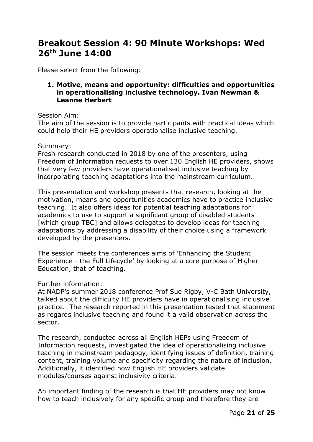# <span id="page-20-0"></span>**Breakout Session 4: 90 Minute Workshops: Wed 26th June 14:00**

Please select from the following:

#### <span id="page-20-1"></span>**1. Motive, means and opportunity: difficulties and opportunities in operationalising inclusive technology. Ivan Newman & Leanne Herbert**

#### Session Aim:

The aim of the session is to provide participants with practical ideas which could help their HE providers operationalise inclusive teaching.

#### Summary:

Fresh research conducted in 2018 by one of the presenters, using Freedom of Information requests to over 130 English HE providers, shows that very few providers have operationalised inclusive teaching by incorporating teaching adaptations into the mainstream curriculum.

This presentation and workshop presents that research, looking at the motivation, means and opportunities academics have to practice inclusive teaching. It also offers ideas for potential teaching adaptations for academics to use to support a significant group of disabled students [which group TBC] and allows delegates to develop ideas for teaching adaptations by addressing a disability of their choice using a framework developed by the presenters.

The session meets the conferences aims of 'Enhancing the Student Experience - the Full Lifecycle' by looking at a core purpose of Higher Education, that of teaching.

#### Further information:

At NADP's summer 2018 conference Prof Sue Rigby, V-C Bath University, talked about the difficulty HE providers have in operationalising inclusive practice. The research reported in this presentation tested that statement as regards inclusive teaching and found it a valid observation across the sector.

The research, conducted across all English HEPs using Freedom of Information requests, investigated the idea of operationalising inclusive teaching in mainstream pedagogy, identifying issues of definition, training content, training volume and specificity regarding the nature of inclusion. Additionally, it identified how English HE providers validate modules/courses against inclusivity criteria.

An important finding of the research is that HE providers may not know how to teach inclusively for any specific group and therefore they are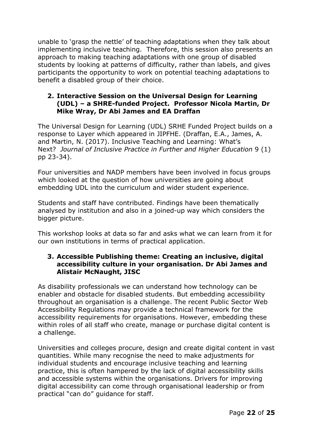unable to 'grasp the nettle' of teaching adaptations when they talk about implementing inclusive teaching. Therefore, this session also presents an approach to making teaching adaptations with one group of disabled students by looking at patterns of difficulty, rather than labels, and gives participants the opportunity to work on potential teaching adaptations to benefit a disabled group of their choice.

#### <span id="page-21-0"></span>**2. Interactive Session on the Universal Design for Learning (UDL) – a SHRE-funded Project. Professor Nicola Martin, Dr Mike Wray, Dr Abi James and EA Draffan**

The Universal Design for Learning (UDL) SRHE Funded Project builds on a response to Layer which appeared in JIPFHE. (Draffan, E.A., James, A. and Martin, N. (2017). Inclusive Teaching and Learning: What's Next? *Journal of Inclusive Practice in Further and Higher Education* 9 (1) pp 23-34).

Four universities and NADP members have been involved in focus groups which looked at the question of how universities are going about embedding UDL into the curriculum and wider student experience.

Students and staff have contributed. Findings have been thematically analysed by institution and also in a joined-up way which considers the bigger picture.

This workshop looks at data so far and asks what we can learn from it for our own institutions in terms of practical application.

#### <span id="page-21-1"></span>**3. Accessible Publishing theme: Creating an inclusive, digital accessibility culture in your organisation. Dr Abi James and Alistair McNaught, JISC**

As disability professionals we can understand how technology can be enabler and obstacle for disabled students. But embedding accessibility throughout an organisation is a challenge. The recent Public Sector Web Accessibility Regulations may provide a technical framework for the accessibility requirements for organisations. However, embedding these within roles of all staff who create, manage or purchase digital content is a challenge.

Universities and colleges procure, design and create digital content in vast quantities. While many recognise the need to make adjustments for individual students and encourage inclusive teaching and learning practice, this is often hampered by the lack of digital accessibility skills and accessible systems within the organisations. Drivers for improving digital accessibility can come through organisational leadership or from practical "can do" guidance for staff.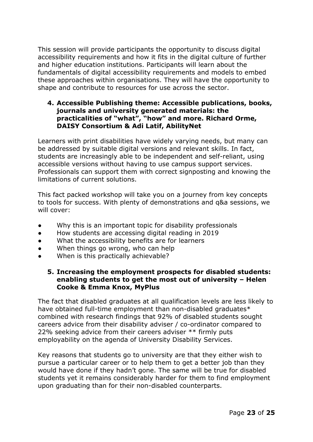This session will provide participants the opportunity to discuss digital accessibility requirements and how it fits in the digital culture of further and higher education institutions. Participants will learn about the fundamentals of digital accessibility requirements and models to embed these approaches within organisations. They will have the opportunity to shape and contribute to resources for use across the sector.

#### <span id="page-22-0"></span>**4. Accessible Publishing theme: Accessible publications, books, journals and university generated materials: the practicalities of "what", "how" and more. Richard Orme, DAISY Consortium & Adi Latif, AbilityNet**

Learners with print disabilities have widely varying needs, but many can be addressed by suitable digital versions and relevant skills. In fact, students are increasingly able to be independent and self-reliant, using accessible versions without having to use campus support services. Professionals can support them with correct signposting and knowing the limitations of current solutions.

This fact packed workshop will take you on a journey from key concepts to tools for success. With plenty of demonstrations and q&a sessions, we will cover:

- Why this is an important topic for disability professionals
- How students are accessing digital reading in 2019
- What the accessibility benefits are for learners
- When things go wrong, who can help
- When is this practically achievable?

#### <span id="page-22-1"></span>**5. Increasing the employment prospects for disabled students: enabling students to get the most out of university – Helen Cooke & Emma Knox, MyPlus**

The fact that disabled graduates at all qualification levels are less likely to have obtained full-time employment than non-disabled graduates\* combined with research findings that 92% of disabled students sought careers advice from their disability adviser / co-ordinator compared to 22% seeking advice from their careers adviser \*\* firmly puts employability on the agenda of University Disability Services.

Key reasons that students go to university are that they either wish to pursue a particular career or to help them to get a better job than they would have done if they hadn't gone. The same will be true for disabled students yet it remains considerably harder for them to find employment upon graduating than for their non-disabled counterparts.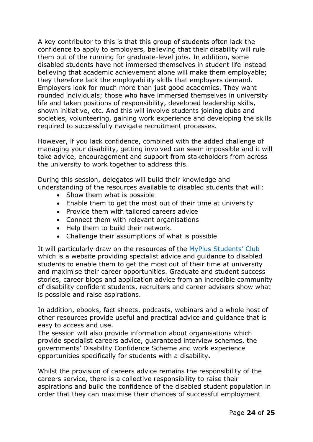A key contributor to this is that this group of students often lack the confidence to apply to employers, believing that their disability will rule them out of the running for graduate-level jobs. In addition, some disabled students have not immersed themselves in student life instead believing that academic achievement alone will make them employable; they therefore lack the employability skills that employers demand. Employers look for much more than just good academics. They want rounded individuals; those who have immersed themselves in university life and taken positions of responsibility, developed leadership skills, shown initiative, etc. And this will involve students joining clubs and societies, volunteering, gaining work experience and developing the skills required to successfully navigate recruitment processes.

However, if you lack confidence, combined with the added challenge of managing your disability, getting involved can seem impossible and it will take advice, encouragement and support from stakeholders from across the university to work together to address this.

During this session, delegates will build their knowledge and understanding of the resources available to disabled students that will:

- Show them what is possible
- Enable them to get the most out of their time at university
- Provide them with tailored careers advice
- Connect them with relevant organisations
- Help them to build their network.
- Challenge their assumptions of what is possible

It will particularly draw on the resources of the MyPlus [Students'](https://myplusstudentsclub.com/) Club which is a website providing specialist advice and guidance to disabled students to enable them to get the most out of their time at university and maximise their career opportunities. Graduate and student success stories, career blogs and application advice from an incredible community of disability confident students, recruiters and career advisers show what is possible and raise aspirations.

In addition, ebooks, fact sheets, podcasts, webinars and a whole host of other resources provide useful and practical advice and guidance that is easy to access and use.

The session will also provide information about organisations which provide specialist careers advice, guaranteed interview schemes, the governments' Disability Confidence Scheme and work experience opportunities specifically for students with a disability.

Whilst the provision of careers advice remains the responsibility of the careers service, there is a collective responsibility to raise their aspirations and build the confidence of the disabled student population in order that they can maximise their chances of successful employment